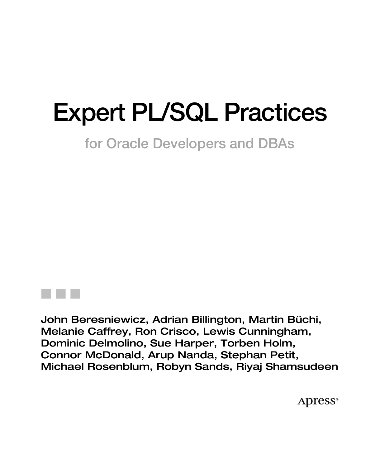# **Expert PL/SQL Practices**

for Oracle Developers and DBAs



John Beresniewicz, Adrian Billington, Martin Büchi, Melanie Caffrey, Ron Crisco, Lewis Cunningham, Dominic Delmolino, Sue Harper, Torben Holm, Connor McDonald, Arup Nanda, Stephan Petit, Michael Rosenblum, Robyn Sands, Riyaj Shamsudeen

Apress<sup>®</sup>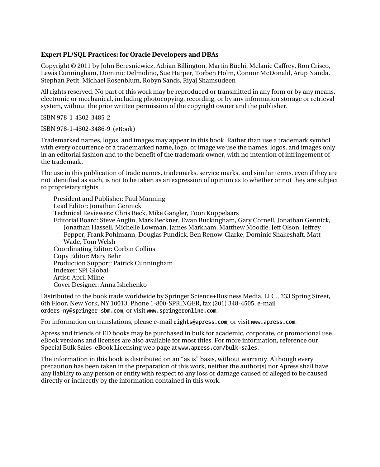#### **Expert PL/SOL Practices: for Oracle Developers and DBAs**

Copyright © 2011 by John Beresniewicz, Adrian Billington, Martin Büchi, Melanie Caffrey, Ron Crisco, Lewis Cunningham, Dominic Delmolino, Sue Harper, Torben Holm, Connor McDonald, Arup Nanda, Stephan Petit, Michael Rosenblum, Robyn Sands, Rivaj Shamsudeen

All rights reserved. No part of this work may be reproduced or transmitted in any form or by any means, electronic or mechanical, including photocopying, recording, or by any information storage or retrieval system, without the prior written permission of the copyright owner and the publisher.

ISBN 978-1-4302-3485-2

ISBN 978-1-4302-3486-9 (eBook)

Trademarked names, logos, and images may appear in this book. Rather than use a trademark symbol with every occurrence of a trademarked name. logo, or image we use the names, logos, and images only in an editorial fashion and to the benefit of the trademark owner, with no intention of infringement of the trademark.

The use in this publication of trade names, trademarks, service marks, and similar terms, even if they are not identified as such, is not to be taken as an expression of opinion as to whether or not they are subject to proprietary rights.

President and Publisher: Paul Manning Lead Editor: Jonathan Gennick Technical Reviewers: Chris Beck, Mike Gangler, Toon Koppelaars Editorial Board: Steve Anglin, Mark Beckner, Ewan Buckingham, Gary Cornell, Jonathan Gennick, Jonathan Hassell, Michelle Lowman, James Markham, Matthew Moodie, Jeff Olson, Jeffrey Pepper, Frank Pohlmann, Douglas Pundick, Ben Renow-Clarke, Dominic Shakeshaft, Matt Wade, Tom Welsh **Coordinating Editor: Corbin Collins** Copy Editor: Mary Behr Production Support: Patrick Cunningham Indexer: SPI Global Artist: April Milne Cover Designer: Anna Ishchenko

Distributed to the book trade worldwide by Springer Science+Business Media, LLC., 233 Spring Street, 6th Floor, New York, NY 10013. Phone 1-800-SPRINGER, fax (201) 348-4505, e-mail orders-ny@springer-sbm.com, or visit www.springeronline.com.

For information on translations, please e-mail rights@apress.com, or visit www.apress.com.

Apress and friends of ED books may be purchased in bulk for academic, corporate, or promotional use. eBook versions and licenses are also available for most titles. For more information, reference our Special Bulk Sales-eBook Licensing web page at www.apress.com/bulk-sales.

The information in this book is distributed on an "as is" basis, without warranty, Although every precaution has been taken in the preparation of this work, neither the author(s) nor Apress shall have any liability to any person or entity with respect to any loss or damage caused or alleged to be caused directly or indirectly by the information contained in this work.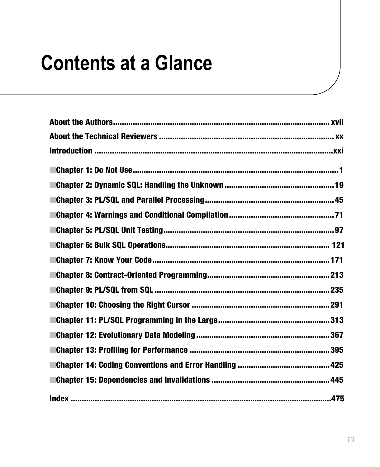#### **Contents at a Glance**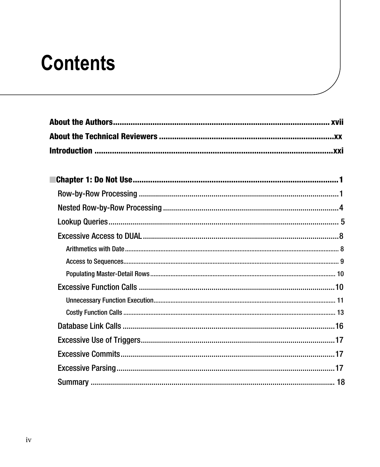## **Contents**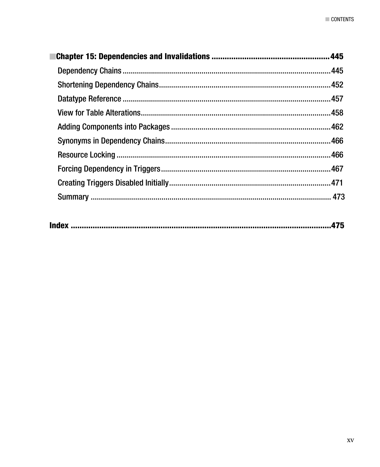|--|--|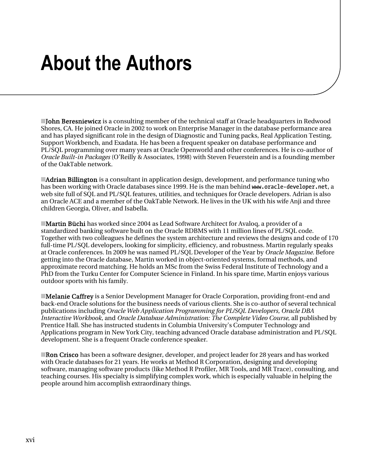#### **About the Authors**

**John Beresniewicz** is a consulting member of the technical staff at Oracle headquarters in Redwood Shores, CA. He joined Oracle in 2002 to work on Enterprise Manager in the database performance area and has played significant role in the design of Diagnostic and Tuning packs, Real Application Testing, Support Workbench, and Exadata. He has been a frequent speaker on database performance and PL/SQL programming over many years at Oracle Openworld and other conferences. He is co-author of Oracle Built-in Packages (O'Reilly & Associates, 1998) with Steven Feuerstein and is a founding member of the OakTable network.

**Adrian Billington** is a consultant in application design, development, and performance tuning who has been working with Oracle databases since 1999. He is the man behind www.oracle-developer.net. a web site full of SOL and PL/SOL features, utilities, and techniques for Oracle developers. Adrian is also an Oracle ACE and a member of the OakTable Network. He lives in the UK with his wife Anji and three children Georgia, Oliver, and Isabella.

**Martin Büchi** has worked since 2004 as Lead Software Architect for Avalog, a provider of a standardized banking software built on the Oracle RDBMS with 11 million lines of PL/SQL code. Together with two colleagues he defines the system architecture and reviews the designs and code of 170 full-time PL/SQL developers, looking for simplicity, efficiency, and robustness. Martin regularly speaks at Oracle conferences. In 2009 he was named PL/SOL Developer of the Year by Oracle Magazine. Before getting into the Oracle database, Martin worked in object-oriented systems, formal methods, and approximate record matching. He holds an MSc from the Swiss Federal Institute of Technology and a PhD from the Turku Center for Computer Science in Finland. In his spare time, Martin enjoys various outdoor sports with his family.

**Melanie Caffrey** is a Senior Development Manager for Oracle Corporation, providing front-end and back-end Oracle solutions for the business needs of various clients. She is co-author of several technical publications including Oracle Web Application Programming for PL/SQL Developers, Oracle DBA Interactive Workbook, and Oracle Database Administration: The Complete Video Course, all published by Prentice Hall. She has instructed students in Columbia University's Computer Technology and Applications program in New York City, teaching advanced Oracle database administration and PL/SOL development. She is a frequent Oracle conference speaker.

**Ron Crisco** has been a software designer, developer, and project leader for 28 years and has worked with Oracle databases for 21 years. He works at Method R Corporation, designing and developing software, managing software products (like Method R Profiler, MR Tools, and MR Trace), consulting, and teaching courses. His specialty is simplifying complex work, which is especially valuable in helping the people around him accomplish extraordinary things.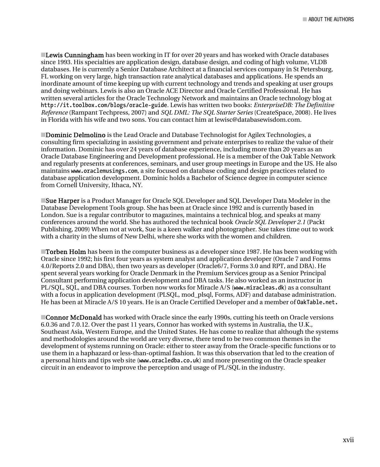**Lewis Cunningham** has been working in IT for over 20 years and has worked with Oracle databases since 1993. His specialties are application design, database design, and coding of high volume, VLDB databases. He is currently a Senior Database Architect at a financial services company in St Petersburg, FL working on very large, high transaction rate analytical databases and applications. He spends an inordinate amount of time keeping up with current technology and trends and speaking at user groups and doing webinars. Lewis is also an Oracle ACE Director and Oracle Certified Professional. He has written several articles for the Oracle Technology Network and maintains an Oracle technology blog at http://it.toolbox.com/blogs/oracle-guide. Lewis has written two books: EnterpriseDB: The Definitive Reference (Rampant Techpress, 2007) and SQL DML: The SQL Starter Series (CreateSpace, 2008). He lives in Florida with his wife and two sons. You can contact him at lewisc@databasewisdom.com.

Dominic Delmolino is the Lead Oracle and Database Technologist for Agilex Technologies, a consulting firm specializing in assisting government and private enterprises to realize the value of their information. Dominic has over 24 years of database experience, including more than 20 years as an Oracle Database Engineering and Development professional. He is a member of the Oak Table Network and regularly presents at conferences, seminars, and user group meetings in Europe and the US. He also maintains www.oraclemusings.com, a site focused on database coding and design practices related to database application development. Dominic holds a Bachelor of Science degree in computer science from Cornell University, Ithaca, NY.

Sue Harper is a Product Manager for Oracle SQL Developer and SQL Developer Data Modeler in the Database Development Tools group. She has been at Oracle since 1992 and is currently based in London. Sue is a regular contributor to magazines, maintains a technical blog, and speaks at many conferences around the world. She has authored the technical book Oracle SQL Developer 2.1 (Packt Publishing, 2009) When not at work, Sue is a keen walker and photographer. Sue takes time out to work with a charity in the slums of New Delhi, where she works with the women and children.

**Torben Holm** has been in the computer business as a developer since 1987. He has been working with Oracle since 1992; his first four years as system analyst and application developer (Oracle 7 and Forms 4.0/Reports 2.0 and DBA), then two vears as developer (Oracle6/7, Forms 3.0 and RPT, and DBA). He spent several years working for Oracle Denmark in the Premium Services group as a Senior Principal Consultant performing application development and DBA tasks. He also worked as an instructor in PL/SOL, SOL, and DBA courses. Torben now works for Miracle A/S (www.miracleas.dk) as a consultant with a focus in application development (PLSOL, mod plsql, Forms, ADF) and database administration. He has been at Miracle A/S 10 years. He is an Oracle Certified Developer and a member of 0akTable.net.

**Connor McDonald** has worked with Oracle since the early 1990s, cutting his teeth on Oracle versions 6.0.36 and 7.0.12. Over the past 11 years, Connor has worked with systems in Australia, the U.K., Southeast Asia, Western Europe, and the United States. He has come to realize that although the systems and methodologies around the world are very diverse, there tend to be two common themes in the development of systems running on Oracle: either to steer away from the Oracle-specific functions or to use them in a haphazard or less-than-optimal fashion. It was this observation that led to the creation of a personal hints and tips web site (www.oracledba.co.uk) and more presenting on the Oracle speaker circuit in an endeavor to improve the perception and usage of PL/SQL in the industry.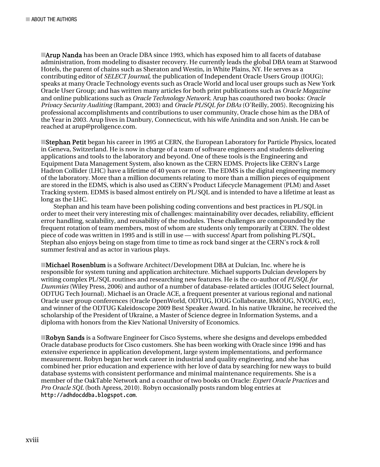Arup Nanda has been an Oracle DBA since 1993, which has exposed him to all facets of database administration, from modeling to disaster recovery. He currently leads the global DBA team at Starwood Hotels, the parent of chains such as Sheraton and Westin, in White Plains, NY. He serves as a contributing editor of *SELECT Journal*, the publication of Independent Oracle Users Group (IOUG); speaks at many Oracle Technology events such as Oracle World and local user groups such as New York Oracle User Group; and has written many articles for both print publications such as Oracle Magazine and online publications such as *Oracle Technology Network*. Arup has coauthored two books: *Oracle* Privacy Security Auditing (Rampant, 2003) and Oracle PL/SOL for DBAs (O'Reilly, 2005). Recognizing his professional accomplishments and contributions to user community, Oracle chose him as the DBA of the Year in 2003. Arup lives in Danbury, Connecticut, with his wife Anindita and son Anish. He can be reached at arup@proligence.com.

Stephan Petit began his career in 1995 at CERN, the European Laboratory for Particle Physics, located in Geneva, Switzerland. He is now in charge of a team of software engineers and students delivering applications and tools to the laboratory and beyond. One of these tools is the Engineering and Equipment Data Management System, also known as the CERN EDMS. Projects like CERN's Large Hadron Collider (LHC) have a lifetime of 40 years or more. The EDMS is the digital engineering memory of the laboratory. More than a million documents relating to more than a million pieces of equipment are stored in the EDMS, which is also used as CERN's Product Lifecycle Management (PLM) and Asset Tracking system. EDMS is based almost entirely on PL/SOL and is intended to have a lifetime at least as long as the LHC.

Stephan and his team have been polishing coding conventions and best practices in PL/SOL in order to meet their very interesting mix of challenges: maintainability over decades, reliability, efficient error handling, scalability, and reusability of the modules. These challenges are compounded by the frequent rotation of team members, most of whom are students only temporarily at CERN. The oldest piece of code was written in 1995 and is still in use — with success! Apart from polishing PL/SQL, Stephan also enjoys being on stage from time to time as rock band singer at the CERN's rock & roll summer festival and as actor in various plays.

Michael Rosenblum is a Software Architect/Development DBA at Dulcian, Inc. where he is responsible for system tuning and application architecture. Michael supports Dulcian developers by writing complex PL/SQL routines and researching new features. He is the co-author of PL/SQL for Dummies (Wiley Press, 2006) and author of a number of database-related articles (IOUG Select Journal, ODTUG Tech Journal). Michael is an Oracle ACE, a frequent presenter at various regional and national Oracle user group conferences (Oracle OpenWorld, ODTUG, IOUG Collaborate, RMOUG, NYOUG, etc), and winner of the ODTUG Kaleidoscope 2009 Best Speaker Award. In his native Ukraine, he received the scholarship of the President of Ukraine, a Master of Science degree in Information Systems, and a diploma with honors from the Kiev National University of Economics.

Robyn Sands is a Software Engineer for Cisco Systems, where she designs and develops embedded Oracle database products for Cisco customers. She has been working with Oracle since 1996 and has extensive experience in application development, large system implementations, and performance measurement. Robyn began her work career in industrial and quality engineering, and she has combined her prior education and experience with her love of data by searching for new ways to build database systems with consistent performance and minimal maintenance requirements. She is a member of the OakTable Network and a coauthor of two books on Oracle: *Expert Oracle Practices* and Pro Oracle SOL (both Apress, 2010). Robyn occasionally posts random blog entries at http://adhdocddba.blogspot.com.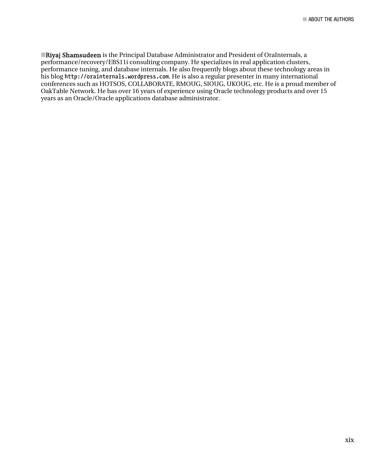Riyaj Shamsudeen is the Principal Database Administrator and President of OraInternals, a performance/recovery/EBS11i consulting company. He specializes in real application clusters, performance tuning, and database internals. He also frequently blogs about these technology areas in his blog http://orainternals.wordpress.com. He is also a regular presenter in many international conferences such as HOTSOS, COLLABORATE, RMOUG, SIOUG, UKOUG, etc. He is a proud member of OakTable Network. He has over 16 years of experience using Oracle technology products and over 15 years as an Oracle/Oracle applications database administrator.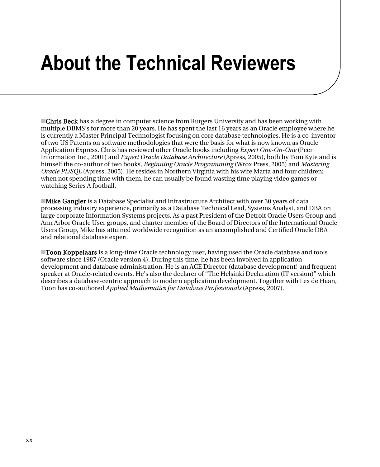### **About the Technical Reviewers**

**Chris Beck** has a degree in computer science from Rutgers University and has been working with multiple DBMS's for more than 20 years. He has spent the last 16 years as an Oracle employee where he is currently a Master Principal Technologist focusing on core database technologies. He is a co-inventor of two US Patents on software methodologies that were the basis for what is now known as Oracle Application Express. Chris has reviewed other Oracle books including Expert One-On-One (Peer Information Inc., 2001) and *Expert Oracle Database Architecture* (Apress, 2005), both by Tom Kyte and is himself the co-author of two books, Beginning Oracle Programming (Wrox Press, 2005) and Mastering Oracle PL/SOL (Apress, 2005). He resides in Northern Virginia with his wife Marta and four children: when not spending time with them, he can usually be found wasting time playing video games or watching Series A football.

**Mike Gangler** is a Database Specialist and Infrastructure Architect with over 30 years of data processing industry experience, primarily as a Database Technical Lead, Systems Analyst, and DBA on large corporate Information Systems projects. As a past President of the Detroit Oracle Users Group and Ann Arbor Oracle User groups, and charter member of the Board of Directors of the International Oracle Users Group, Mike has attained worldwide recognition as an accomplished and Certified Oracle DBA and relational database expert.

**Toon Koppelaars** is a long-time Oracle technology user, having used the Oracle database and tools software since 1987 (Oracle version 4). During this time, he has been involved in application development and database administration. He is an ACE Director (database development) and frequent speaker at Oracle-related events. He's also the declarer of "The Helsinki Declaration (IT version)" which describes a database-centric approach to modern application development. Together with Lex de Haan, Toon has co-authored Applied Mathematics for Database Professionals (Apress, 2007).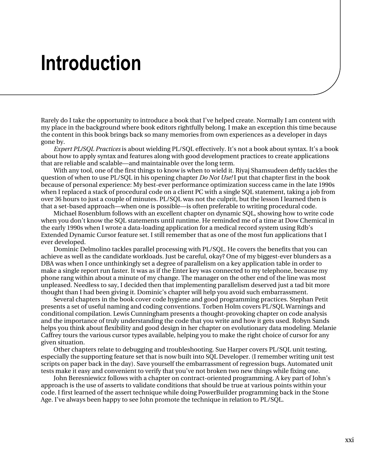#### **Introduction**

Rarely do I take the opportunity to introduce a book that I've helped create. Normally I am content with my place in the background where book editors rightfully belong. I make an exception this time because the content in this book brings back so many memories from own experiences as a developer in days gone by.

*Expert PL/SOL Practices* is about wielding PL/SOL effectively. It's not a book about syntax. It's a book about how to apply syntax and features along with good development practices to create applications that are reliable and scalable—and maintainable over the long term.

With any tool, one of the first things to know is when to wield it. Riyaj Shamsudeen deftly tackles the question of when to use PL/SOL in his opening chapter *Do Not Use*! I put that chapter first in the book because of personal experience: My best-ever performance optimization success came in the late 1990s when I replaced a stack of procedural code on a client PC with a single SQL statement, taking a job from over 36 hours to just a couple of minutes. PL/SQL was not the culprit, but the lesson I learned then is that a set-based approach—when one is possible—is often preferable to writing procedural code.

Michael Rosenblum follows with an excellent chapter on dynamic SOL, showing how to write code when you don't know the SOL statements until runtime. He reminded me of a time at Dow Chemical in the early 1990s when I wrote a data-loading application for a medical record system using Rdb's Extended Dynamic Cursor feature set. I still remember that as one of the most fun applications that I ever developed.

Dominic Delmolino tackles parallel processing with PL/SQL. He covers the benefits that you can achieve as well as the candidate workloads. Just be careful, okay? One of my biggest-ever blunders as a DBA was when I once unthinkingly set a degree of parallelism on a key application table in order to make a single report run faster. It was as if the Enter key was connected to my telephone, because my phone rang within about a minute of my change. The manager on the other end of the line was most unpleased. Needless to say, I decided then that implementing parallelism deserved just a tad bit more thought than I had been giving it. Dominic's chapter will help you avoid such embarrassment.

Several chapters in the book cover code hygiene and good programming practices. Stephan Petit presents a set of useful naming and coding conventions. Torben Holm covers PL/SOL Warnings and conditional compilation. Lewis Cunningham presents a thought-provoking chapter on code analysis and the importance of truly understanding the code that you write and how it gets used. Robyn Sands helps you think about flexibility and good design in her chapter on evolutionary data modeling. Melanie Caffrey tours the various cursor types available, helping you to make the right choice of cursor for any given situation.

Other chapters relate to debugging and troubleshooting. Sue Harper covers PL/SQL unit testing, especially the supporting feature set that is now built into SQL Developer. (I remember writing unit test scripts on paper back in the day). Save yourself the embarrassment of regression bugs. Automated unit tests make it easy and convenient to verify that you've not broken two new things while fixing one.

John Beresniewicz follows with a chapter on contract-oriented programming. A key part of John's approach is the use of asserts to validate conditions that should be true at various points within your code. I first learned of the assert technique while doing PowerBuilder programming back in the Stone Age. I've always been happy to see John promote the technique in relation to PL/SQL.